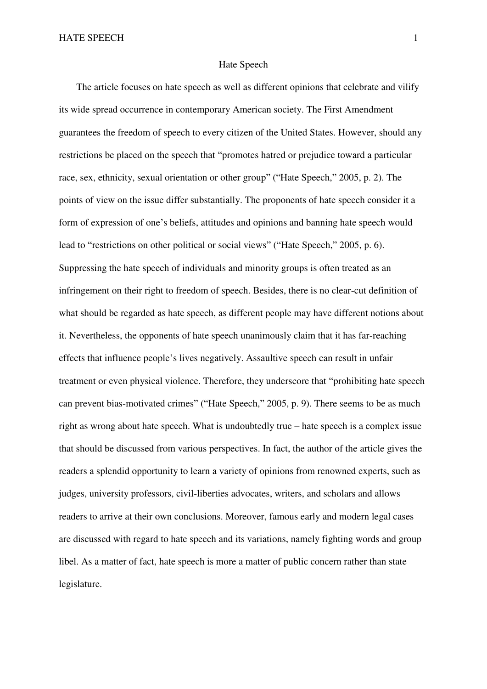## Hate Speech

The article focuses on hate speech as well as different opinions that celebrate and vilify its wide spread occurrence in contemporary American society. The First Amendment guarantees the freedom of speech to every citizen of the United States. However, should any restrictions be placed on the speech that "promotes hatred or prejudice toward a particular race, sex, ethnicity, sexual orientation or other group" ("Hate Speech," 2005, p. 2). The points of view on the issue differ substantially. The proponents of hate speech consider it a form of expression of one's beliefs, attitudes and opinions and banning hate speech would lead to "restrictions on other political or social views" ("Hate Speech," 2005, p. 6). Suppressing the hate speech of individuals and minority groups is often treated as an infringement on their right to freedom of speech. Besides, there is no clear-cut definition of what should be regarded as hate speech, as different people may have different notions about it. Nevertheless, the opponents of hate speech unanimously claim that it has far-reaching effects that influence people's lives negatively. Assaultive speech can result in unfair treatment or even physical violence. Therefore, they underscore that "prohibiting hate speech can prevent bias-motivated crimes" ("Hate Speech," 2005, p. 9). There seems to be as much right as wrong about hate speech. What is undoubtedly true – hate speech is a complex issue that should be discussed from various perspectives. In fact, the author of the article gives the readers a splendid opportunity to learn a variety of opinions from renowned experts, such as judges, university professors, civil-liberties advocates, writers, and scholars and allows readers to arrive at their own conclusions. Moreover, famous early and modern legal cases are discussed with regard to hate speech and its variations, namely fighting words and group libel. As a matter of fact, hate speech is more a matter of public concern rather than state legislature.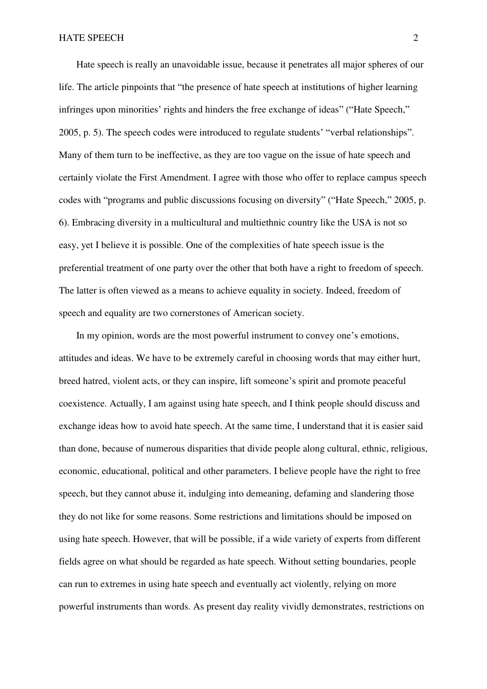## HATE SPEECH 2

Hate speech is really an unavoidable issue, because it penetrates all major spheres of our life. The article pinpoints that "the presence of hate speech at institutions of higher learning infringes upon minorities' rights and hinders the free exchange of ideas" ("Hate Speech," 2005, p. 5). The speech codes were introduced to regulate students' "verbal relationships". Many of them turn to be ineffective, as they are too vague on the issue of hate speech and certainly violate the First Amendment. I agree with those who offer to replace campus speech codes with "programs and public discussions focusing on diversity" ("Hate Speech," 2005, p. 6). Embracing diversity in a multicultural and multiethnic country like the USA is not so easy, yet I believe it is possible. One of the complexities of hate speech issue is the preferential treatment of one party over the other that both have a right to freedom of speech. The latter is often viewed as a means to achieve equality in society. Indeed, freedom of speech and equality are two cornerstones of American society.

In my opinion, words are the most powerful instrument to convey one's emotions, attitudes and ideas. We have to be extremely careful in choosing words that may either hurt, breed hatred, violent acts, or they can inspire, lift someone's spirit and promote peaceful coexistence. Actually, I am against using hate speech, and I think people should discuss and exchange ideas how to avoid hate speech. At the same time, I understand that it is easier said than done, because of numerous disparities that divide people along cultural, ethnic, religious, economic, educational, political and other parameters. I believe people have the right to free speech, but they cannot abuse it, indulging into demeaning, defaming and slandering those they do not like for some reasons. Some restrictions and limitations should be imposed on using hate speech. However, that will be possible, if a wide variety of experts from different fields agree on what should be regarded as hate speech. Without setting boundaries, people can run to extremes in using hate speech and eventually act violently, relying on more powerful instruments than words. As present day reality vividly demonstrates, restrictions on